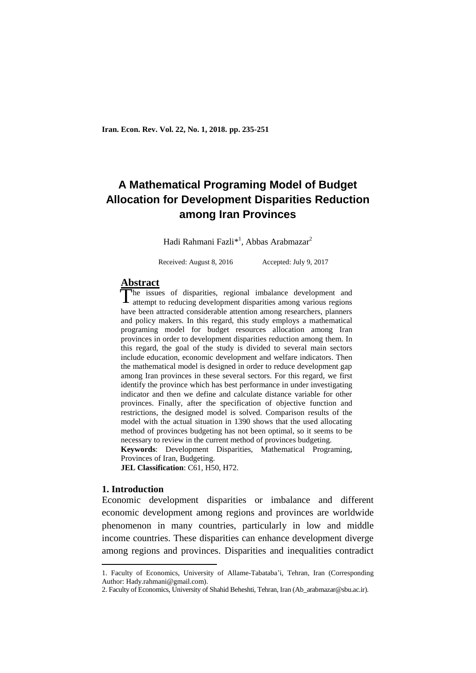# **A Mathematical Programing Model of Budget Allocation for Development Disparities Reduction among Iran Provinces**

Hadi Rahmani Fazli<sup>\*1</sup>, Abbas Arabmazar<sup>2</sup>

Received: August 8, 2016 Accepted: July 9, 2017

# **Abstract**

The issues of disparities, regional imbalance development and The issues of disparities, regional imbalance development and attempt to reducing development disparities among various regions have been attracted considerable attention among researchers, planners and policy makers. In this regard, this study employs a mathematical programing model for budget resources allocation among Iran provinces in order to development disparities reduction among them. In this regard, the goal of the study is divided to several main sectors include education, economic development and welfare indicators. Then the mathematical model is designed in order to reduce development gap among Iran provinces in these several sectors. For this regard, we first identify the province which has best performance in under investigating indicator and then we define and calculate distance variable for other provinces. Finally, after the specification of objective function and restrictions, the designed model is solved. Comparison results of the model with the actual situation in 1390 shows that the used allocating method of provinces budgeting has not been optimal, so it seems to be necessary to review in the current method of provinces budgeting. **Keywords**: Development Disparities, Mathematical Programing,

Provinces of Iran, Budgeting.

**JEL Classification**: C61, H50, H72.

## **1. Introduction**

**.** 

Economic development disparities or imbalance and different economic development among regions and provinces are worldwide phenomenon in many countries, particularly in low and middle income countries. These disparities can enhance development diverge among regions and provinces. Disparities and inequalities contradict

<sup>1.</sup> Faculty of Economics, University of Allame-Tabataba'i, Tehran, Iran (Corresponding Author: Hady.rahmani@gmail.com).

<sup>2.</sup> Faculty of Economics, University of Shahid Beheshti, Tehran, Iran (Ab\_arabmazar@sbu.ac.ir).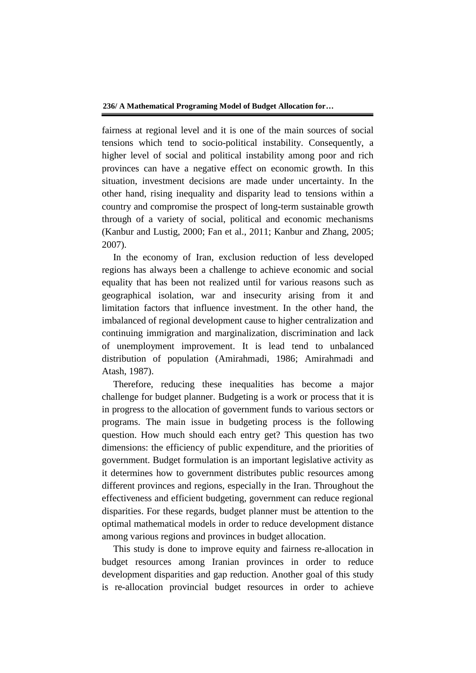fairness at regional level and it is one of the main sources of social tensions which tend to socio-political instability. Consequently, a higher level of social and political instability among poor and rich provinces can have a negative effect on economic growth. In this situation, investment decisions are made under uncertainty. In the other hand, rising inequality and disparity lead to tensions within a country and compromise the prospect of long-term sustainable growth through of a variety of social, political and economic mechanisms (Kanbur and Lustig, 2000; Fan et al., 2011; Kanbur and Zhang, 2005; 2007).

In the economy of Iran, exclusion reduction of less developed regions has always been a challenge to achieve economic and social equality that has been not realized until for various reasons such as geographical isolation, war and insecurity arising from it and limitation factors that influence investment. In the other hand, the imbalanced of regional development cause to higher centralization and continuing immigration and marginalization, discrimination and lack of unemployment improvement. It is lead tend to unbalanced distribution of population (Amirahmadi, 1986; Amirahmadi and Atash, 1987).

Therefore, reducing these inequalities has become a major challenge for budget planner. Budgeting is a work or process that it is in progress to the allocation of government funds to various sectors or programs. The main issue in budgeting process is the following question. How much should each entry get? This question has two dimensions: the efficiency of public expenditure, and the priorities of government. Budget formulation is an important legislative activity as it determines how to government distributes public resources among different provinces and regions, especially in the Iran. Throughout the effectiveness and efficient budgeting, government can reduce regional disparities. For these regards, budget planner must be attention to the optimal mathematical models in order to reduce development distance among various regions and provinces in budget allocation.

This study is done to improve equity and fairness re-allocation in budget resources among Iranian provinces in order to reduce development disparities and gap reduction. Another goal of this study is re-allocation provincial budget resources in order to achieve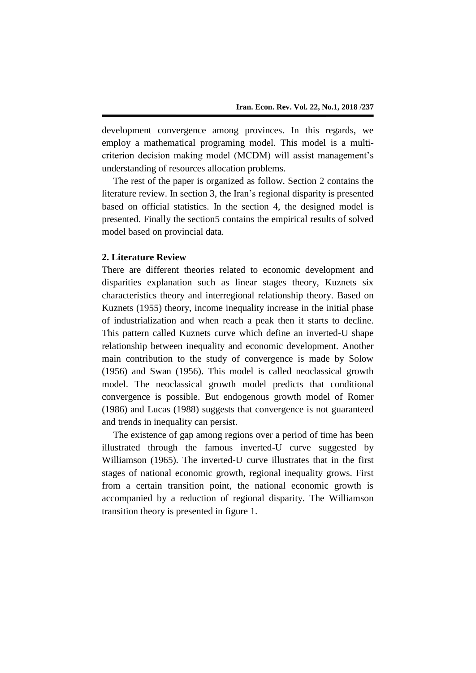development convergence among provinces. In this regards, we employ a mathematical programing model. This model is a multicriterion decision making model (MCDM) will assist management's understanding of resources allocation problems.

The rest of the paper is organized as follow. Section 2 contains the literature review. In section 3, the Iran's regional disparity is presented based on official statistics. In the section 4, the designed model is presented. Finally the section5 contains the empirical results of solved model based on provincial data.

# **2. Literature Review**

There are different theories related to economic development and disparities explanation such as linear stages theory, Kuznets six characteristics theory and interregional relationship theory. Based on Kuznets (1955) theory, income inequality increase in the initial phase of industrialization and when reach a peak then it starts to decline. This pattern called Kuznets curve which define an inverted-U shape relationship between inequality and economic development. Another main contribution to the study of convergence is made by Solow (1956) and Swan (1956). This model is called neoclassical growth model. The neoclassical growth model predicts that conditional convergence is possible. But endogenous growth model of Romer (1986) and Lucas (1988) suggests that convergence is not guaranteed and trends in inequality can persist.

The existence of gap among regions over a period of time has been illustrated through the famous inverted-U curve suggested by Williamson (1965). The inverted-U curve illustrates that in the first stages of national economic growth, regional inequality grows. First from a certain transition point, the national economic growth is accompanied by a reduction of regional disparity. The Williamson transition theory is presented in figure 1.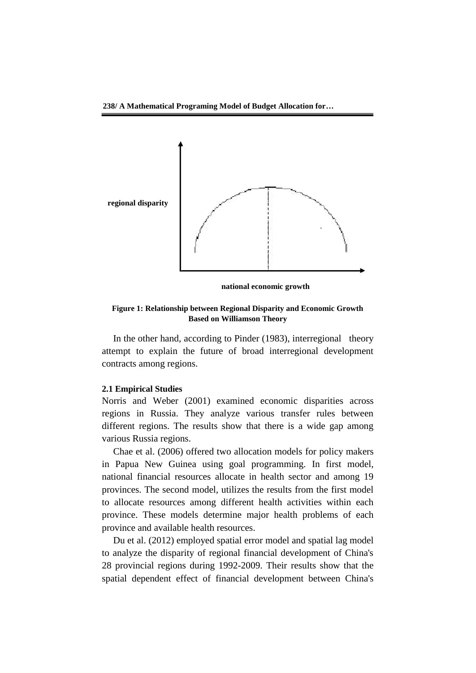**238/ A Mathematical Programing Model of Budget Allocation for…**



**national economic growth**

### **Figure 1: Relationship between Regional Disparity and Economic Growth Based on Williamson Theory**

In the other hand, according to Pinder (1983), interregional theory attempt to explain the future of broad interregional development contracts among regions.

## **2.1 Empirical Studies**

Norris and Weber (2001) examined economic disparities across regions in Russia. They analyze various transfer rules between different regions. The results show that there is a wide gap among various Russia regions.

Chae et al. (2006) offered two allocation models for policy makers in Papua New Guinea using goal programming. In first model, national financial resources allocate in health sector and among 19 provinces. The second model, utilizes the results from the first model to allocate resources among different health activities within each province. These models determine major health problems of each province and available health resources.

Du et al. (2012) employed spatial error model and spatial lag model to analyze the disparity of regional financial development of China's 28 provincial regions during 1992-2009. Their results show that the spatial dependent effect of financial development between China's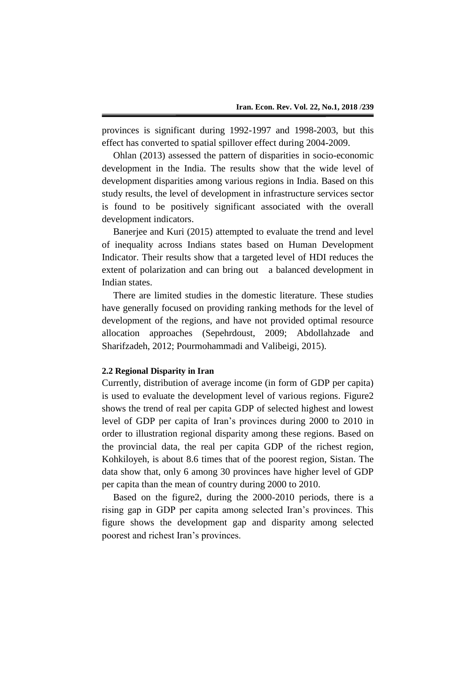provinces is significant during 1992-1997 and 1998-2003, but this effect has converted to spatial spillover effect during 2004-2009.

Ohlan (2013) assessed the pattern of disparities in socio-economic development in the India. The results show that the wide level of development disparities among various regions in India. Based on this study results, the level of development in infrastructure services sector is found to be positively significant associated with the overall development indicators.

Banerjee and Kuri (2015) attempted to evaluate the trend and level of inequality across Indians states based on Human Development Indicator. Their results show that a targeted level of HDI reduces the extent of polarization and can bring out a balanced development in Indian states.

There are limited studies in the domestic literature. These studies have generally focused on providing ranking methods for the level of development of the regions, and have not provided optimal resource allocation approaches (Sepehrdoust, 2009; Abdollahzade and Sharifzadeh, 2012; Pourmohammadi and Valibeigi, 2015).

## **2.2 Regional Disparity in Iran**

Currently, distribution of average income (in form of GDP per capita) is used to evaluate the development level of various regions. Figure2 shows the trend of real per capita GDP of selected highest and lowest level of GDP per capita of Iran's provinces during 2000 to 2010 in order to illustration regional disparity among these regions. Based on the provincial data, the real per capita GDP of the richest region, Kohkiloyeh, is about 8.6 times that of the poorest region, Sistan. The data show that, only 6 among 30 provinces have higher level of GDP per capita than the mean of country during 2000 to 2010.

Based on the figure2, during the 2000-2010 periods, there is a rising gap in GDP per capita among selected Iran's provinces. This figure shows the development gap and disparity among selected poorest and richest Iran's provinces.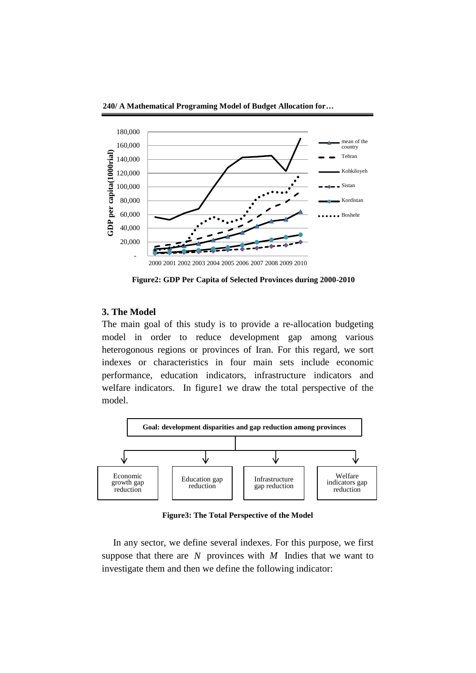

**Figure2: GDP Per Capita of Selected Provinces during 2000-2010**

# **3. The Model**

The main goal of this study is to provide a re-allocation budgeting model in order to reduce development gap among various heterogonous regions or provinces of Iran. For this regard, we sort indexes or characteristics in four main sets include economic performance, education indicators, infrastructure indicators and welfare indicators. In figure1 we draw the total perspective of the model.



**Figure3: The Total Perspective of the Model**

In any sector, we define several indexes. For this purpose, we first suppose that there are  $N$  provinces with  $M$  Indies that we want to investigate them and then we define the following indicator: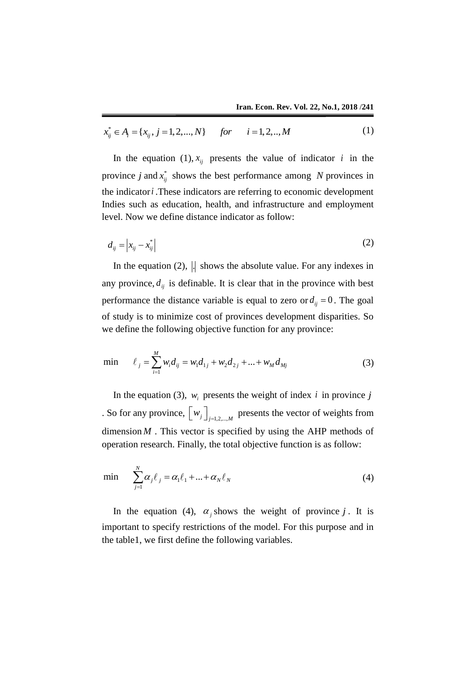$$
\overbrace{x_{ij}^* \in A_i = \{x_{ij}, j = 1, 2, ..., N\}}^{\text{Hall. Eton. Rev. Vol. 22, 100.1, 2010 / 241}}(1)
$$

In the equation (1),  $x_{ij}$  presents the value of indicator *i* in the province *j* and  $x_{ij}^*$  shows the best performance among *N* provinces in the indicator *i* .These indicators are referring to economic development Indies such as education, health, and infrastructure and employment level. Now we define distance indicator as follow:

$$
d_{ij} = \left| x_{ij} - x_{ij}^* \right| \tag{2}
$$

In the equation  $(2)$ ,  $\vert \vert$  shows the absolute value. For any indexes in any province,  $d_{ij}$  is definable. It is clear that in the province with best performance the distance variable is equal to zero or  $d_{ij} = 0$ . The goal of study is to minimize cost of provinces development disparities. So we define the following objective function for any province:

$$
\min \qquad \ell_j = \sum_{i=1}^{M} w_i d_{ij} = w_1 d_{1j} + w_2 d_{2j} + \dots + w_M d_{Mj}
$$
(3)

In the equation (3),  $w_i$  presents the weight of index *i* in province *j* . So for any province,  $\left\lfloor w_j \right\rfloor_{j=1,2,\dots,M}$  presents the vector of weights from dimension  $M$ . This vector is specified by using the AHP methods of operation research. Finally, the total objective function is as follow:

$$
\min \sum_{j=1}^{N} \alpha_{j} \ell_{j} = \alpha_{1} \ell_{1} + ... + \alpha_{N} \ell_{N}
$$
\n(4)

In the equation (4),  $\alpha_j$  shows the weight of province j. It is important to specify restrictions of the model. For this purpose and in the table1, we first define the following variables.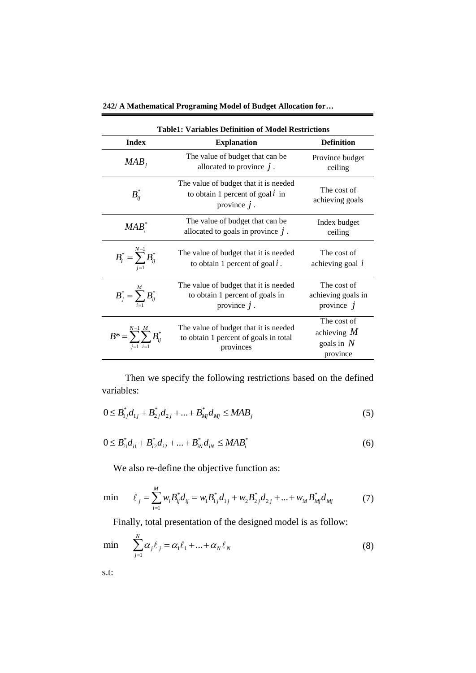**242/ A Mathematical Programing Model of Budget Allocation for…**

| <b>Table1: Variables Definition of Model Restrictions</b> |                                                                                               |                                                          |  |  |
|-----------------------------------------------------------|-----------------------------------------------------------------------------------------------|----------------------------------------------------------|--|--|
| <b>Index</b>                                              | <b>Explanation</b>                                                                            | <b>Definition</b>                                        |  |  |
| $MAB_i$                                                   | The value of budget that can be<br>allocated to province $j$ .                                | Province budget<br>ceiling                               |  |  |
| $B_{ii}^*$                                                | The value of budget that it is needed<br>to obtain 1 percent of goal $i$ in<br>province $j$ . | The cost of<br>achieving goals                           |  |  |
| $MAB$ <sup>*</sup>                                        | The value of budget that can be<br>allocated to goals in province $j$ .                       | Index budget<br>ceiling                                  |  |  |
| $B_i^* = \sum_{i=1}^{N-1} B_{ij}^*$                       | The value of budget that it is needed<br>to obtain 1 percent of goal $l$ .                    | The cost of<br>achieving goal $i$                        |  |  |
| $B_j^* = \sum_{i=1}^M B_{ij}^*$                           | The value of budget that it is needed<br>to obtain 1 percent of goals in<br>province $j$ .    | The cost of<br>achieving goals in<br>province $j$        |  |  |
| N-1 M<br>$B^* = \sum_i \sum_i B^*_{ij}$                   | The value of budget that it is needed<br>to obtain 1 percent of goals in total<br>provinces   | The cost of<br>achieving $M$<br>goals in $N$<br>province |  |  |

 Then we specify the following restrictions based on the defined variables:

$$
0 \leq B_{1j}^* d_{1j} + B_{2j}^* d_{2j} + ... + B_{mj}^* d_{Mj} \leq MAB_j
$$
\n(5)

$$
0 \leq B_{i1}^* d_{i1} + B_{i2}^* d_{i2} + \dots + B_{iN}^* d_{iN} \leq M A B_i^*
$$
\n(6)

We also re-define the objective function as:  
\nmin 
$$
\ell_j = \sum_{i=1}^{M} w_i B_{ij}^* d_{ij} = w_i B_{1j}^* d_{1j} + w_2 B_{2j}^* d_{2j} + ... + w_M B_{Mj}^* d_{Mj}
$$
 (7)

Finally, total presentation of the designed model is as follow:

$$
\min \sum_{j=1}^{N} \alpha_{j} \ell_{j} = \alpha_{1} \ell_{1} + ... + \alpha_{N} \ell_{N}
$$
\n(8)

s.t: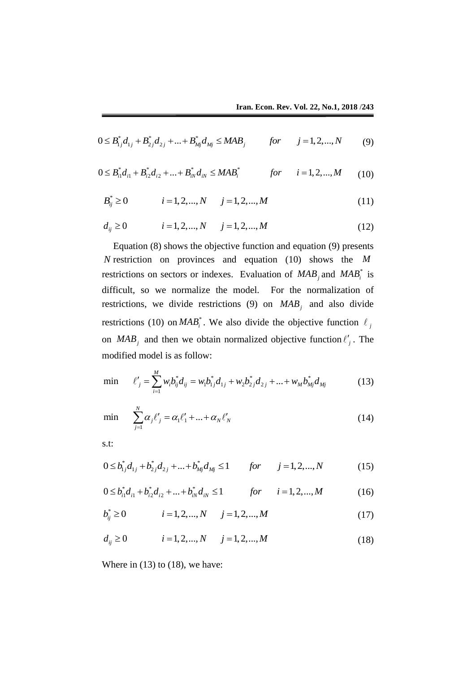$$
0 \leq B_{1j}^* d_{1j} + B_{2j}^* d_{2j} + ... + B_{mj}^* d_{Mj} \leq MAB_j \qquad \text{for} \qquad j = 1, 2, ..., N \qquad (9)
$$

$$
0 \leq B_{1j} a_{1j} + B_{2j} a_{2j} + ... + B_{Mj} a_{Mj} \leq MAD_j \qquad \text{for} \qquad j = 1, 2, ..., N \qquad (9)
$$
  

$$
0 \leq B_{i1}^* d_{i1} + B_{i2}^* d_{i2} + ... + B_{iN}^* d_{iN} \leq MAB_i^* \qquad \text{for} \qquad i = 1, 2, ..., M \qquad (10)
$$

$$
B_{ij}^* \ge 0 \qquad i = 1, 2, ..., N \qquad j = 1, 2, ..., M \qquad (11)
$$

$$
B_{ij}^{*} \ge 0 \t i = 1, 2, ..., N \t j = 1, 2, ..., M \t (11)
$$
  

$$
d_{ij} \ge 0 \t i = 1, 2, ..., N \t j = 1, 2, ..., M \t (12)
$$

Equation (8) shows the objective function and equation (9) presents *N* restriction on provinces and equation (10) shows the *M* restrictions on sectors or indexes. Evaluation of  $MAB_j$  and  $MAB_i^*$  is difficult, so we normalize the model. For the normalization of restrictions, we divide restrictions (9) on  $MAB_j$  and also divide restrictions (10) on  $MAB_i^*$ . We also divide the objective function  $\ell_j$ on  $MAB_j$  and then we obtain normalized objective function  $l'_j$ . The modified model is as follow:

modified model is as follow:  
\n
$$
\min \qquad \ell'_j = \sum_{i=1}^M w_i b_{ij}^* d_{ij} = w_i b_{1j}^* d_{1j} + w_2 b_{2j}^* d_{2j} + \dots + w_M b_{Mj}^* d_{Mj} \tag{13}
$$

$$
\min \sum_{j=1}^{N} \alpha_{j} \ell'_{j} = \alpha_{1} \ell'_{1} + ... + \alpha_{N} \ell'_{N}
$$
\n(14)

s.t:

s.t:  
\n
$$
0 \le b_{1j}^* d_{1j} + b_{2j}^* d_{2j} + \dots + b_{Mj}^* d_{Mj} \le 1 \qquad \text{for} \qquad j = 1, 2, \dots, N \tag{15}
$$

$$
0 \le b_{1j} d_{1j} + b_{2j} d_{2j} + \dots + b_{Mj} d_{Mj} \le 1 \qquad \text{for} \qquad j = 1, 2, \dots, N \tag{15}
$$
  

$$
0 \le b_{i1}^* d_{i1} + b_{i2}^* d_{i2} + \dots + b_{iN}^* d_{iN} \le 1 \qquad \text{for} \qquad i = 1, 2, \dots, M \tag{16}
$$

$$
b_{ij}^{*} \ge 0 \t i = 1, 2, ..., N \t j = 1, 2, ..., M \t (10)
$$
  

$$
b_{ij}^{*} \ge 0 \t i = 1, 2, ..., N \t j = 1, 2, ..., M \t (17)
$$
  

$$
d_{ij} \ge 0 \t i = 1, 2, ..., N \t j = 1, 2, ..., M \t (18)
$$

$$
d_{ij} \ge 0 \qquad i = 1, 2, ..., N \qquad j = 1, 2, ..., M \qquad (18)
$$

Where in  $(13)$  to  $(18)$ , we have: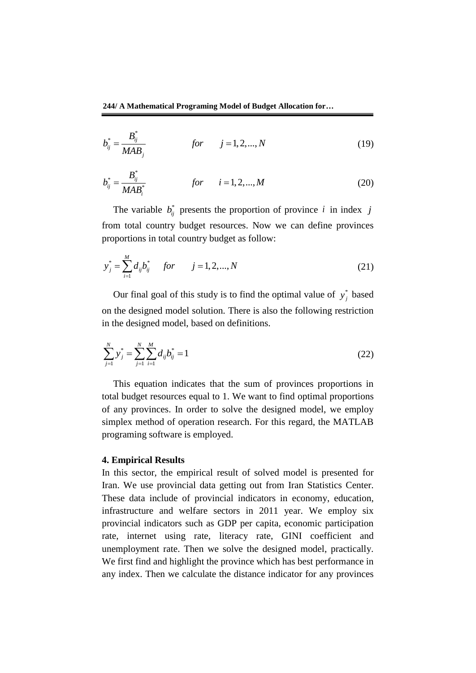**244/ A Mathematical Programing Model of Budget Allocation for…**

$$
b_{ij}^* = \frac{B_{ij}^*}{MAB_j}
$$
 for  $j = 1, 2, ..., N$  (19)

$$
b_{ij}^* = \frac{B_{ij}^*}{MAB_i^*} \qquad \qquad \text{for} \qquad i = 1, 2, ..., M \qquad (20)
$$

The variable  $b_{ij}^*$  presents the proportion of province *i* in index *j* from total country budget resources. Now we can define provinces proportions in total country budget as follow:

$$
y_j^* = \sum_{i=1}^M d_{ij} b_{ij}^* \quad for \quad j = 1, 2, ..., N
$$
 (21)

Our final goal of this study is to find the optimal value of  $y_i^*$ *j y* based on the designed model solution. There is also the following restriction in the designed model, based on definitions.

$$
\sum_{j=1}^{N} y_j^* = \sum_{j=1}^{N} \sum_{i=1}^{M} d_{ij} b_{ij}^* = 1
$$
\n(22)

This equation indicates that the sum of provinces proportions in total budget resources equal to 1. We want to find optimal proportions of any provinces. In order to solve the designed model, we employ simplex method of operation research. For this regard, the MATLAB programing software is employed.

## **4. Empirical Results**

In this sector, the empirical result of solved model is presented for Iran. We use provincial data getting out from Iran Statistics Center. These data include of provincial indicators in economy, education, infrastructure and welfare sectors in 2011 year. We employ six provincial indicators such as GDP per capita, economic participation rate, internet using rate, literacy rate, GINI coefficient and unemployment rate. Then we solve the designed model, practically. We first find and highlight the province which has best performance in any index. Then we calculate the distance indicator for any provinces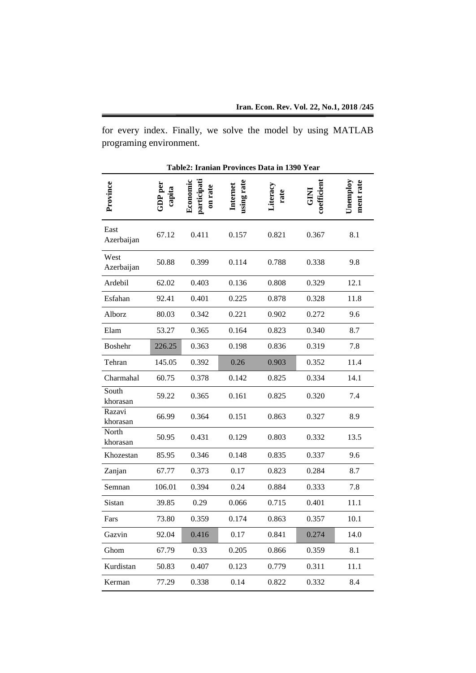for every index. Finally, we solve the model by using MATLAB programing environment.

**Table2: Iranian Provinces Data in 1390 Year**

| Province           | ${\rm GDP\, per}$<br>capita | participati<br>Economic<br>on rate | using rate<br>Internet | iteracy<br>rate | coefficient<br>E<br>U | Unemploy<br>ment rate |
|--------------------|-----------------------------|------------------------------------|------------------------|-----------------|-----------------------|-----------------------|
| East<br>Azerbaijan | 67.12                       | 0.411                              | 0.157                  | 0.821           | 0.367                 | 8.1                   |
| West<br>Azerbaijan | 50.88                       | 0.399                              | 0.114                  | 0.788           | 0.338                 | 9.8                   |
| Ardebil            | 62.02                       | 0.403                              | 0.136                  | 0.808           | 0.329                 | 12.1                  |
| Esfahan            | 92.41                       | 0.401                              | 0.225                  | 0.878           | 0.328                 | 11.8                  |
| Alborz             | 80.03                       | 0.342                              | 0.221                  | 0.902           | 0.272                 | 9.6                   |
| Elam               | 53.27                       | 0.365                              | 0.164                  | 0.823           | 0.340                 | 8.7                   |
| <b>Boshehr</b>     | 226.25                      | 0.363                              | 0.198                  | 0.836           | 0.319                 | 7.8                   |
| Tehran             | 145.05                      | 0.392                              | 0.26                   | 0.903           | 0.352                 | 11.4                  |
| Charmahal          | 60.75                       | 0.378                              | 0.142                  | 0.825           | 0.334                 | 14.1                  |
| South<br>khorasan  | 59.22                       | 0.365                              | 0.161                  | 0.825           | 0.320                 | 7.4                   |
| Razavi<br>khorasan | 66.99                       | 0.364                              | 0.151                  | 0.863           | 0.327                 | 8.9                   |
| North<br>khorasan  | 50.95                       | 0.431                              | 0.129                  | 0.803           | 0.332                 | 13.5                  |
| Khozestan          | 85.95                       | 0.346                              | 0.148                  | 0.835           | 0.337                 | 9.6                   |
| Zanjan             | 67.77                       | 0.373                              | 0.17                   | 0.823           | 0.284                 | 8.7                   |
| Semnan             | 106.01                      | 0.394                              | 0.24                   | 0.884           | 0.333                 | 7.8                   |
| Sistan             | 39.85                       | 0.29                               | 0.066                  | 0.715           | 0.401                 | 11.1                  |
| Fars               | 73.80                       | 0.359                              | 0.174                  | 0.863           | 0.357                 | 10.1                  |
| Gazvin             | 92.04                       | 0.416                              | 0.17                   | 0.841           | 0.274                 | 14.0                  |
| Ghom               | 67.79                       | 0.33                               | 0.205                  | 0.866           | 0.359                 | 8.1                   |
| Kurdistan          | 50.83                       | 0.407                              | 0.123                  | 0.779           | 0.311                 | 11.1                  |
| Kerman             | 77.29                       | 0.338                              | 0.14                   | 0.822           | 0.332                 | 8.4                   |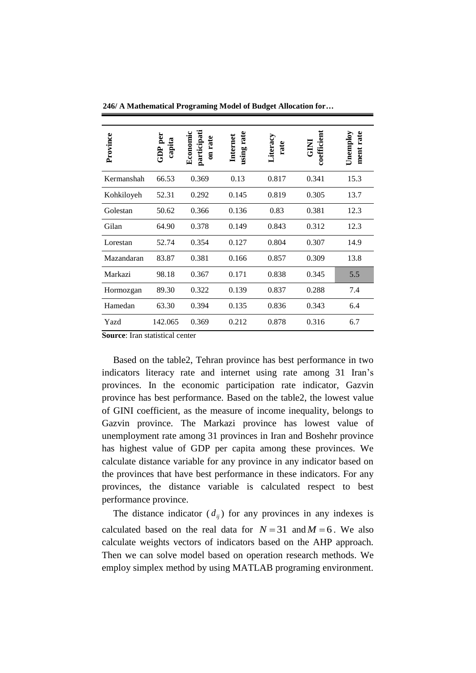| Province   | $GDP$ per<br>capita | participati<br>Economi<br>on rate | rate<br>Internet<br>using | Literacy<br>rate | coefficient<br><b>EXP</b> | rate<br>Unemploy<br>ment |
|------------|---------------------|-----------------------------------|---------------------------|------------------|---------------------------|--------------------------|
| Kermanshah | 66.53               | 0.369                             | 0.13                      | 0.817            | 0.341                     | 15.3                     |
| Kohkiloyeh | 52.31               | 0.292                             | 0.145                     | 0.819            | 0.305                     | 13.7                     |
| Golestan   | 50.62               | 0.366                             | 0.136                     | 0.83             | 0.381                     | 12.3                     |
| Gilan      | 64.90               | 0.378                             | 0.149                     | 0.843            | 0.312                     | 12.3                     |
| Lorestan   | 52.74               | 0.354                             | 0.127                     | 0.804            | 0.307                     | 14.9                     |
| Mazandaran | 83.87               | 0.381                             | 0.166                     | 0.857            | 0.309                     | 13.8                     |
| Markazi    | 98.18               | 0.367                             | 0.171                     | 0.838            | 0.345                     | 5.5                      |
| Hormozgan  | 89.30               | 0.322                             | 0.139                     | 0.837            | 0.288                     | 7.4                      |
| Hamedan    | 63.30               | 0.394                             | 0.135                     | 0.836            | 0.343                     | 6.4                      |
| Yazd       | 142.065             | 0.369                             | 0.212                     | 0.878            | 0.316                     | 6.7                      |

**246/ A Mathematical Programing Model of Budget Allocation for…**

**Source**: Iran statistical center

Based on the table2, Tehran province has best performance in two indicators literacy rate and internet using rate among 31 Iran's provinces. In the economic participation rate indicator, Gazvin province has best performance. Based on the table2, the lowest value of GINI coefficient, as the measure of income inequality, belongs to Gazvin province. The Markazi province has lowest value of unemployment rate among 31 provinces in Iran and Boshehr province has highest value of GDP per capita among these provinces. We calculate distance variable for any province in any indicator based on the provinces that have best performance in these indicators. For any provinces, the distance variable is calculated respect to best performance province.

The distance indicator  $(d_{ij})$  for any provinces in any indexes is calculated based on the real data for  $N = 31$  and  $M = 6$ . We also calculate weights vectors of indicators based on the AHP approach. Then we can solve model based on operation research methods. We employ simplex method by using MATLAB programing environment.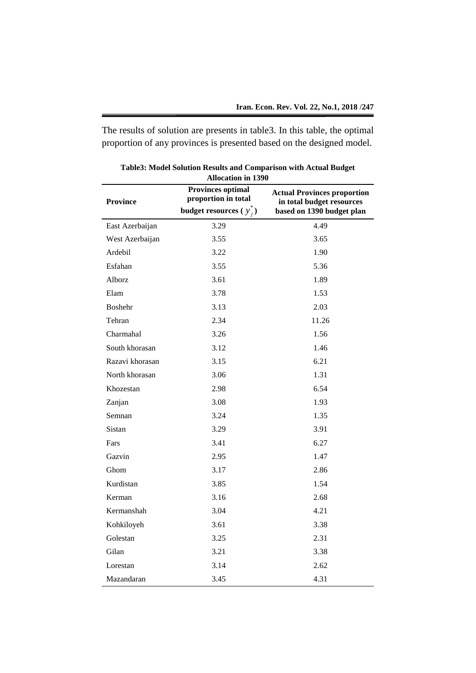The results of solution are presents in table3. In this table, the optimal proportion of any provinces is presented based on the designed model.

| <b>Allocation in 1390</b> |                                                 |                                                                                              |  |  |
|---------------------------|-------------------------------------------------|----------------------------------------------------------------------------------------------|--|--|
| <b>Province</b>           | <b>Provinces optimal</b><br>proportion in total | <b>Actual Provinces proportion</b><br>in total budget resources<br>based on 1390 budget plan |  |  |
|                           | budget resources ( $y_i^*$ )                    |                                                                                              |  |  |
| East Azerbaijan           | 3.29                                            | 4.49                                                                                         |  |  |
| West Azerbaijan           | 3.55                                            | 3.65                                                                                         |  |  |
| Ardebil                   | 3.22                                            | 1.90                                                                                         |  |  |
| Esfahan                   | 3.55                                            | 5.36                                                                                         |  |  |
| Alborz                    | 3.61                                            | 1.89                                                                                         |  |  |
| Elam                      | 3.78                                            | 1.53                                                                                         |  |  |
| <b>Boshehr</b>            | 3.13                                            | 2.03                                                                                         |  |  |
| Tehran                    | 2.34                                            | 11.26                                                                                        |  |  |
| Charmahal                 | 3.26                                            | 1.56                                                                                         |  |  |
| South khorasan            | 3.12                                            | 1.46                                                                                         |  |  |
| Razavi khorasan           | 3.15                                            | 6.21                                                                                         |  |  |
| North khorasan            | 3.06                                            | 1.31                                                                                         |  |  |
| Khozestan                 | 2.98                                            | 6.54                                                                                         |  |  |
| Zanjan                    | 3.08                                            | 1.93                                                                                         |  |  |
| Semnan                    | 3.24                                            | 1.35                                                                                         |  |  |
| Sistan                    | 3.29                                            | 3.91                                                                                         |  |  |
| Fars                      | 3.41                                            | 6.27                                                                                         |  |  |
| Gazvin                    | 2.95                                            | 1.47                                                                                         |  |  |
| Ghom                      | 3.17                                            | 2.86                                                                                         |  |  |
| Kurdistan                 | 3.85                                            | 1.54                                                                                         |  |  |
| Kerman                    | 3.16                                            | 2.68                                                                                         |  |  |
| Kermanshah                | 3.04                                            | 4.21                                                                                         |  |  |
| Kohkiloyeh                | 3.61                                            | 3.38                                                                                         |  |  |
| Golestan                  | 3.25                                            | 2.31                                                                                         |  |  |
| Gilan                     | 3.21                                            | 3.38                                                                                         |  |  |
| Lorestan                  | 3.14                                            | 2.62                                                                                         |  |  |
| Mazandaran                | 3.45                                            | 4.31                                                                                         |  |  |

**Table3: Model Solution Results and Comparison with Actual Budget**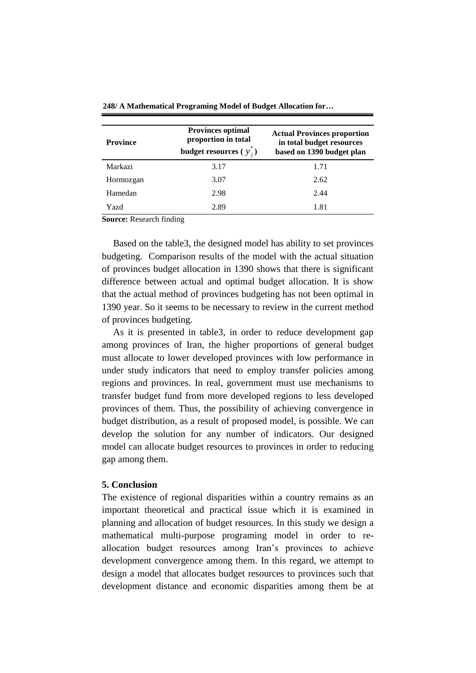| <b>Province</b> | <b>Provinces optimal</b><br>proportion in total<br>budget resources $(y_i^*)$ | <b>Actual Provinces proportion</b><br>in total budget resources<br>based on 1390 budget plan |
|-----------------|-------------------------------------------------------------------------------|----------------------------------------------------------------------------------------------|
| Markazi         | 3.17                                                                          | 1.71                                                                                         |
| Hormozgan       | 3.07                                                                          | 2.62                                                                                         |
| Hamedan         | 2.98                                                                          | 2.44                                                                                         |
| Yazd            | 2.89                                                                          | 1.81                                                                                         |

**248/ A Mathematical Programing Model of Budget Allocation for…**

**Source:** Research finding

Based on the table3, the designed model has ability to set provinces budgeting. Comparison results of the model with the actual situation of provinces budget allocation in 1390 shows that there is significant difference between actual and optimal budget allocation. It is show that the actual method of provinces budgeting has not been optimal in 1390 year. So it seems to be necessary to review in the current method of provinces budgeting.

As it is presented in table3, in order to reduce development gap among provinces of Iran, the higher proportions of general budget must allocate to lower developed provinces with low performance in under study indicators that need to employ transfer policies among regions and provinces. In real, government must use mechanisms to transfer budget fund from more developed regions to less developed provinces of them. Thus, the possibility of achieving convergence in budget distribution, as a result of proposed model, is possible. We can develop the solution for any number of indicators. Our designed model can allocate budget resources to provinces in order to reducing gap among them.

## **5. Conclusion**

The existence of regional disparities within a country remains as an important theoretical and practical issue which it is examined in planning and allocation of budget resources. In this study we design a mathematical multi-purpose programing model in order to reallocation budget resources among Iran's provinces to achieve development convergence among them. In this regard, we attempt to design a model that allocates budget resources to provinces such that development distance and economic disparities among them be at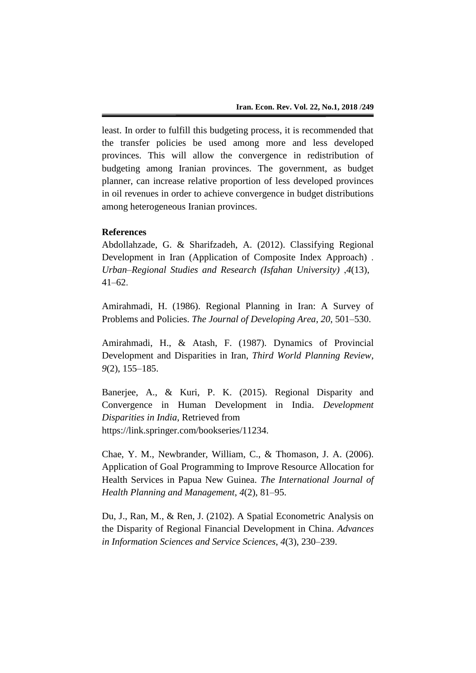least. In order to fulfill this budgeting process, it is recommended that the transfer policies be used among more and less developed provinces. This will allow the convergence in redistribution of budgeting among Iranian provinces. The government, as budget planner, can increase relative proportion of less developed provinces in oil revenues in order to achieve convergence in budget distributions among heterogeneous Iranian provinces.

# **References**

Abdollahzade, G. & Sharifzadeh, A. (2012). Classifying Regional Development in Iran (Application of Composite Index Approach) . *Urban–Regional Studies and Research (Isfahan University)* ,*4*(13), 41*–*62.

Amirahmadi, H. (1986). Regional Planning in Iran: A Survey of Problems and Policies. *The Journal of Developing Area*, *20*, 501*–*530.

Amirahmadi, H., & Atash, F. (1987). Dynamics of Provincial Development and Disparities in Iran, *Third World Planning Review*, *9*(2), 155*–*185.

Banerjee, A., & Kuri, P. K. (2015). Regional Disparity and Convergence in Human Development in India. *Development Disparities in India*, Retrieved from https://link.springer.com/bookseries/11234.

Chae, Y. M., Newbrander, William, C., & Thomason, J. A. (2006). Application of Goal Programming to Improve Resource Allocation for Health Services in Papua New Guinea. *The International Journal of Health Planning and Management*, *4*(2), 81–95.

Du, J., Ran, M., & Ren, J. (2102). A Spatial Econometric Analysis on the Disparity of Regional Financial Development in China. *Advances in Information Sciences and Service Sciences*, *4*(3), 230–239.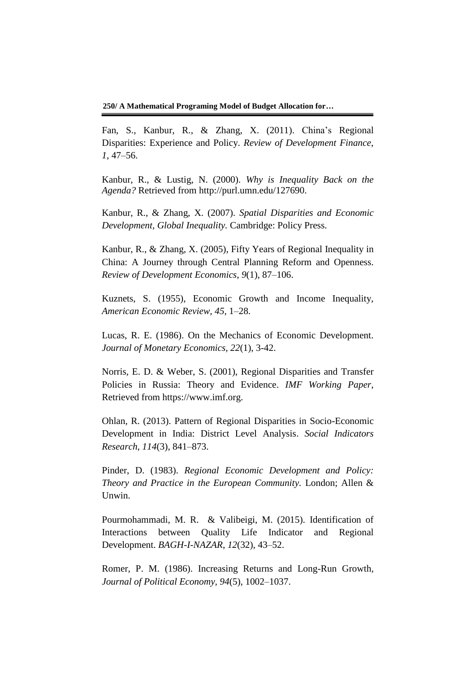**250/ A Mathematical Programing Model of Budget Allocation for…**

Fan, S., Kanbur, R., & Zhang, X. (2011). China's Regional Disparities: Experience and Policy. *Review of Development Finance*, *1*, 47–56.

Kanbur, R., & Lustig, N. (2000). *Why is Inequality Back on the Agenda?* Retrieved from http://purl.umn.edu/127690.

Kanbur, R., & Zhang, X. (2007). *Spatial Disparities and Economic Development, Global Inequality.* Cambridge: Policy Press.

Kanbur, R., & Zhang, X. (2005), Fifty Years of Regional Inequality in China: A Journey through Central Planning Reform and Openness. *Review of Development Economics*, *9*(1), 87–106.

Kuznets, S. (1955), Economic Growth and Income Inequality, *American Economic Review*, *45*, 1–28.

Lucas, R. E. (1986). On the Mechanics of Economic Development. *Journal of Monetary Economics, 22*(1), 3-42.

Norris, E. D. & Weber, S. (2001), Regional Disparities and Transfer Policies in Russia: Theory and Evidence. *IMF Working Paper*, Retrieved from https://www.imf.org.

Ohlan, R. (2013). Pattern of Regional Disparities in Socio-Economic Development in India: District Level Analysis. *Social Indicators Research*, *114*(3), 841–873.

Pinder, D. (1983). *Regional Economic Development and Policy: Theory and Practice in the European Community.* London; Allen & Unwin.

Pourmohammadi, M. R. & Valibeigi, M. (2015). Identification of Interactions between Quality Life Indicator and Regional Development. *BAGH-I-NAZAR*, *12*(32), 43–52.

Romer, P. M. (1986). Increasing Returns and Long*-*Run Growth*, Journal of Political Economy, 94*(5), 1002–1037.